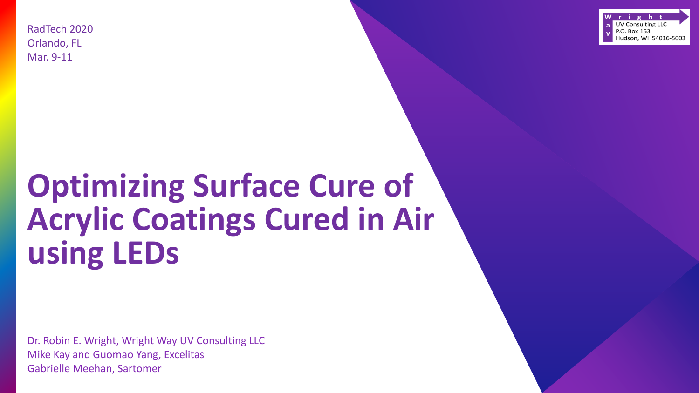RadTech 2020 Orlando, FL Mar. 9-11



# **Optimizing Surface Cure of Acrylic Coatings Cured in Air using LEDs**

Dr. Robin E. Wright, Wright Way UV Consulting LLC Mike Kay and Guomao Yang, Excelitas Gabrielle Meehan, Sartomer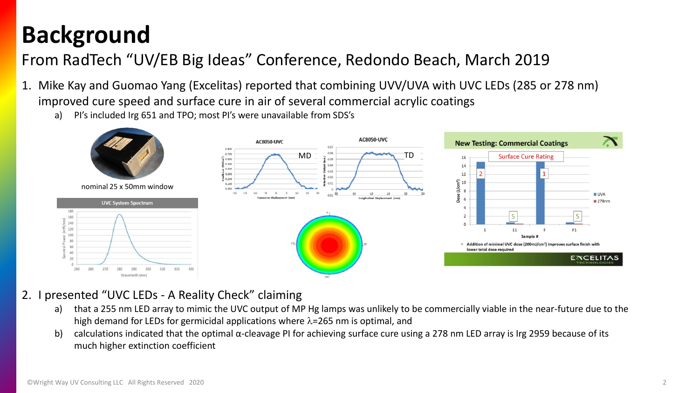### **Background**

#### From RadTech "UV/EB Big Ideas" Conference, Redondo Beach, March 2019

- 1. Mike Kay and Guomao Yang (Excelitas) reported that combining UVV/UVA with UVC LEDs (285 or 278 nm) improved cure speed and surface cure in air of several commercial acrylic coatings
	- a) PI's included Irg 651 and TPO; most PI's were unavailable from SDS's



nominal 25 x 50mm window







#### 2. I presented "UVC LEDs - A Reality Check" claiming

- a) that a 255 nm LED array to mimic the UVC output of MP Hg lamps was unlikely to be commercially viable in the near-future due to the high demand for LEDs for germicidal applications where  $\lambda$ =265 nm is optimal, and
- b) calculations indicated that the optimal α-cleavage PI for achieving surface cure using a 278 nm LED array is Irg 2959 because of its much higher extinction coefficient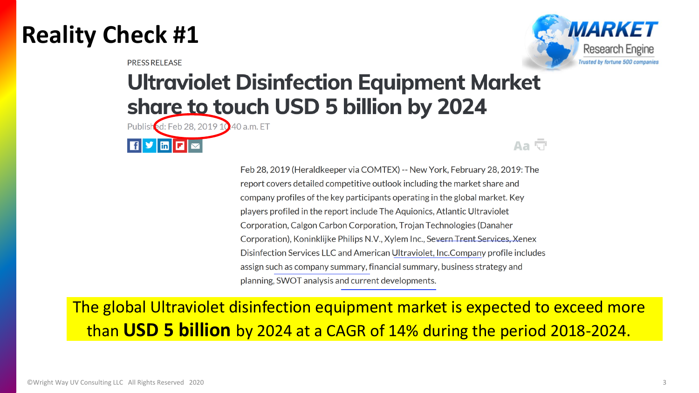#### **Reality Check #1**

**PRESS RELEASE** 



#### **Ultraviolet Disinfection Equipment Market** share to touch USD 5 billion by 2024

Published: Feb 28, 2019 10 40 a.m. ET



Aa G

Feb 28, 2019 (Heraldkeeper via COMTEX) -- New York, February 28, 2019: The report covers detailed competitive outlook including the market share and company profiles of the key participants operating in the global market. Key players profiled in the report include The Aquionics, Atlantic Ultraviolet Corporation, Calgon Carbon Corporation, Trojan Technologies (Danaher Corporation), Koninklijke Philips N.V., Xylem Inc., Severn Trent Services, Xenex Disinfection Services LLC and American Ultraviolet, Inc. Company profile includes assign such as company summary, financial summary, business strategy and planning, SWOT analysis and current developments.

The global Ultraviolet disinfection equipment market is expected to exceed more than **USD 5 billion** by 2024 at a CAGR of 14% during the period 2018-2024.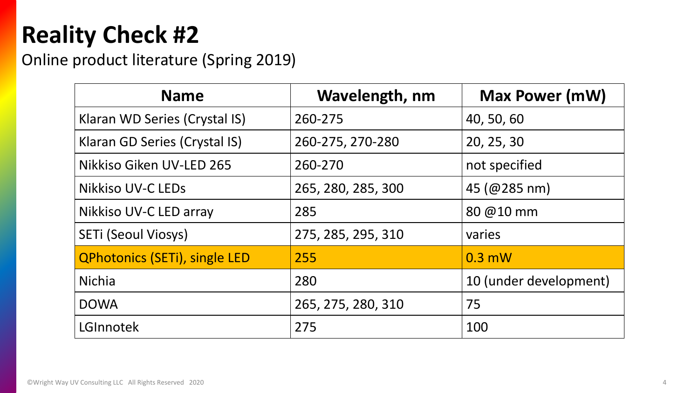# **Reality Check #2**

#### Online product literature (Spring 2019)

| <b>Name</b>                          | Wavelength, nm     | <b>Max Power (mW)</b>                            |
|--------------------------------------|--------------------|--------------------------------------------------|
| Klaran WD Series (Crystal IS)        | 260-275            | 40, 50, 60                                       |
| Klaran GD Series (Crystal IS)        | 260-275, 270-280   | 20, 25, 30                                       |
| Nikkiso Giken UV-LED 265             | 260-270            | not specified                                    |
| <b>Nikkiso UV-C LEDs</b>             | 265, 280, 285, 300 | $45 \, (\text{\textcircled{a}}285 \, \text{nm})$ |
| Nikkiso UV-C LED array               | 285                | 80 @10 mm                                        |
| SETI (Seoul Viosys)                  | 275, 285, 295, 310 | varies                                           |
| <b>QPhotonics (SETi), single LED</b> | 255                | $0.3$ mW                                         |
| <b>Nichia</b>                        | 280                | 10 (under development)                           |
| <b>DOWA</b>                          | 265, 275, 280, 310 | 75                                               |
| LGInnotek                            | 275                | 100                                              |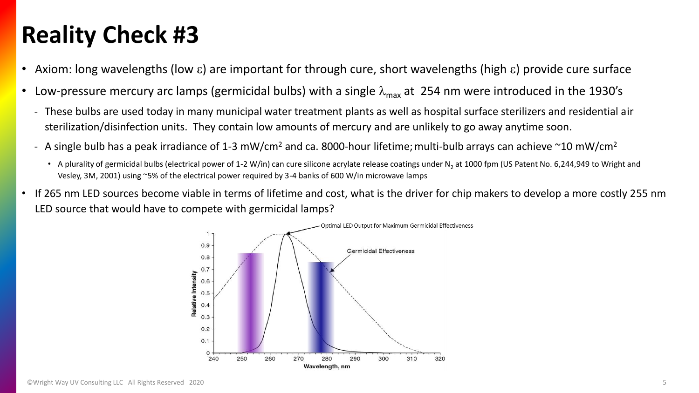#### **Reality Check #3**

- Axiom: long wavelengths (low  $\varepsilon$ ) are important for through cure, short wavelengths (high  $\varepsilon$ ) provide cure surface
- Low-pressure mercury arc lamps (germicidal bulbs) with a single  $\lambda_{\text{max}}$  at 254 nm were introduced in the 1930's
	- These bulbs are used today in many municipal water treatment plants as well as hospital surface sterilizers and residential air sterilization/disinfection units. They contain low amounts of mercury and are unlikely to go away anytime soon.
	- A single bulb has a peak irradiance of 1-3 mW/cm<sup>2</sup> and ca. 8000-hour lifetime; multi-bulb arrays can achieve  $\sim$ 10 mW/cm<sup>2</sup>
		- A plurality of germicidal bulbs (electrical power of 1-2 W/in) can cure silicone acrylate release coatings under N<sub>2</sub> at 1000 fpm (US Patent No. 6,244,949 to Wright and Vesley, 3M, 2001) using ~5% of the electrical power required by 3-4 banks of 600 W/in microwave lamps
- If 265 nm LED sources become viable in terms of lifetime and cost, what is the driver for chip makers to develop a more costly 255 nm LED source that would have to compete with germicidal lamps?

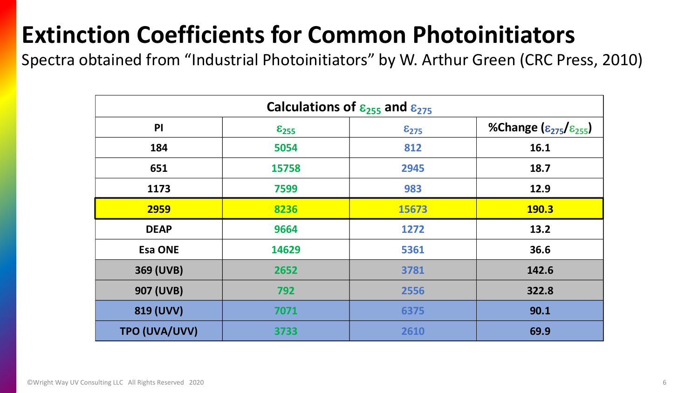# **Extinction Coefficients for Common Photoinitiators**

Spectra obtained from "Industrial Photoinitiators" by W. Arthur Green (CRC Press, 2010)

| Calculations of $\varepsilon_{255}$ and $\varepsilon_{275}$ |                     |                  |                                           |  |  |  |  |  |  |  |
|-------------------------------------------------------------|---------------------|------------------|-------------------------------------------|--|--|--|--|--|--|--|
| P <sub>1</sub>                                              | $\varepsilon_{255}$ | $\epsilon_{275}$ | %Change $(\epsilon_{275}/\epsilon_{255})$ |  |  |  |  |  |  |  |
| 184                                                         | 5054                | 812              | 16.1                                      |  |  |  |  |  |  |  |
| 651                                                         | 15758               | 2945             | 18.7                                      |  |  |  |  |  |  |  |
| 1173                                                        | 7599                | 983              | 12.9                                      |  |  |  |  |  |  |  |
| 2959                                                        | 8236                | 15673            | <b>190.3</b>                              |  |  |  |  |  |  |  |
| <b>DEAP</b>                                                 | 9664                | 1272             | 13.2                                      |  |  |  |  |  |  |  |
| <b>Esa ONE</b>                                              | 14629               | 5361             | 36.6                                      |  |  |  |  |  |  |  |
| 369 (UVB)                                                   | 2652                | 3781             | 142.6                                     |  |  |  |  |  |  |  |
| 907 (UVB)                                                   | 792                 | 2556             | 322.8                                     |  |  |  |  |  |  |  |
| 819 (UVV)                                                   | 7071                | 6375             | 90.1                                      |  |  |  |  |  |  |  |
| TPO (UVA/UVV)                                               | 3733                | 2610             | 69.9                                      |  |  |  |  |  |  |  |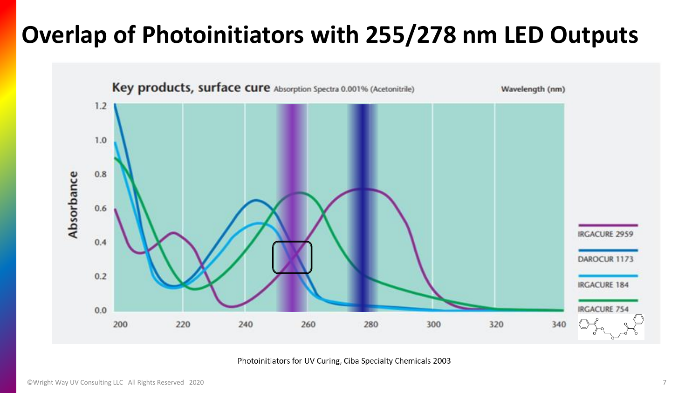### **Overlap of Photoinitiators with 255/278 nm LED Outputs**



Photoinitiators for UV Curing, Ciba Specialty Chemicals 2003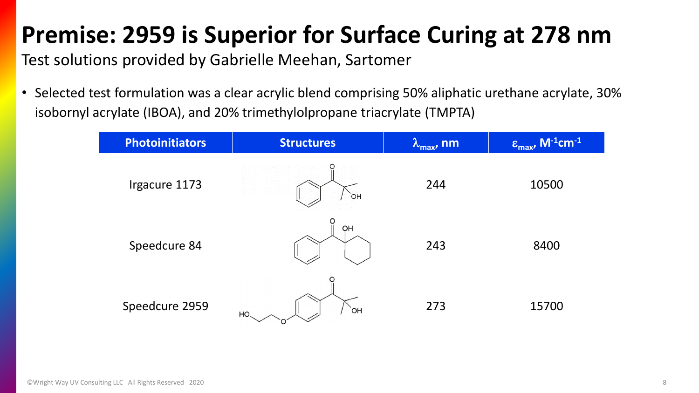## **Premise: 2959 is Superior for Surface Curing at 278 nm**

Test solutions provided by Gabrielle Meehan, Sartomer

• Selected test formulation was a clear acrylic blend comprising 50% aliphatic urethane acrylate, 30% isobornyl acrylate (IBOA), and 20% trimethylolpropane triacrylate (TMPTA)

| <b>Photoinitiators</b> | <b>Structures</b> | $\lambda_{\max}$ , nm | $\epsilon_{\max}$ , M <sup>-1</sup> cm <sup>-1</sup> |
|------------------------|-------------------|-----------------------|------------------------------------------------------|
| Irgacure 1173          | `OH               | 244                   | 10500                                                |
| Speedcure 84           | O<br>OH           | 243                   | 8400                                                 |
| Speedcure 2959         | `OH<br>HO.        | 273                   | 15700                                                |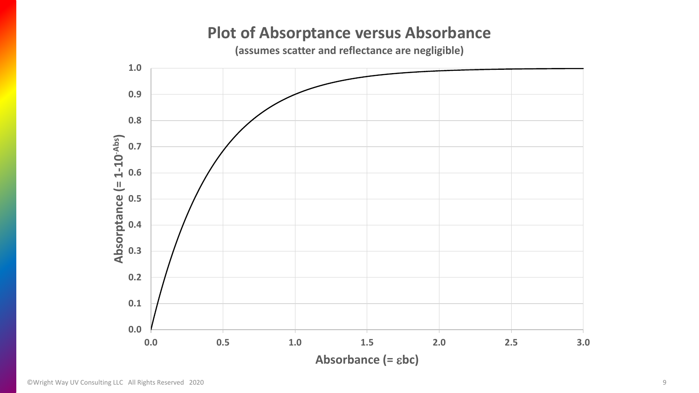#### **Plot of Absorptance versus Absorbance**

**(assumes scatter and reflectance are negligible)** 

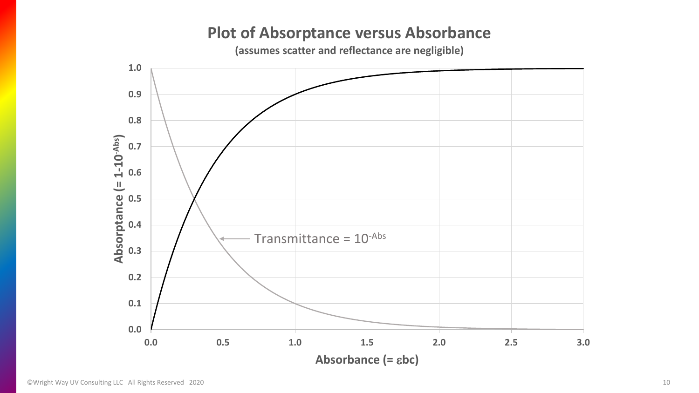#### **Plot of Absorptance versus Absorbance**

**(assumes scatter and reflectance are negligible)** 

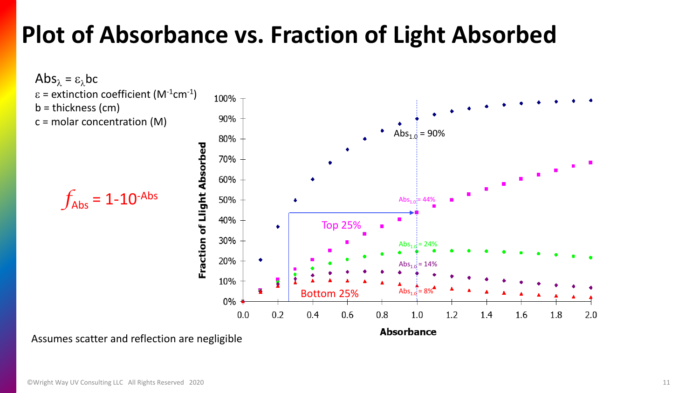#### **Plot of Absorbance vs. Fraction of Light Absorbed**



Assumes scatter and reflection are negligible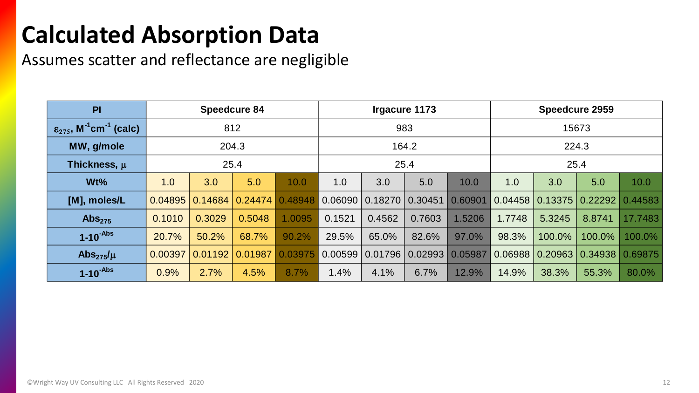# **Calculated Absorption Data**

Assumes scatter and reflectance are negligible

| PI                                                            | <b>Speedcure 84</b> |         |                        | Irgacure 1173 |         |                     | <b>Speedcure 2959</b>   |         |         |                               |         |         |
|---------------------------------------------------------------|---------------------|---------|------------------------|---------------|---------|---------------------|-------------------------|---------|---------|-------------------------------|---------|---------|
| $\varepsilon_{275}$ , M <sup>-1</sup> cm <sup>-1</sup> (calc) | 812                 |         |                        | 983           |         |                     | 15673                   |         |         |                               |         |         |
| MW, g/mole                                                    | 204.3               |         |                        | 164.2         |         |                     | 224.3                   |         |         |                               |         |         |
| Thickness, $\mu$                                              | 25.4                |         |                        |               | 25.4    |                     |                         | 25.4    |         |                               |         |         |
| Wt%                                                           | 1.0                 | 3.0     | 5.0                    | 10.0          | 1.0     | 3.0                 | 5.0                     | 10.0    | 1.0     | 3.0                           | 5.0     | 10.0    |
| [M], moles/L                                                  | 0.04895             |         | $0.14684 \mid 0.24474$ | 0.48948       | 0.06090 | $0.18270$ $0.30451$ |                         | 0.60901 |         | $0.04458$   0.13375   0.22292 |         | 0.44583 |
| $\mathsf{Abs}_{275}$                                          | 0.1010              | 0.3029  | 0.5048                 | 1.0095        | 0.1521  | 0.4562              | 0.7603                  | 1.5206  | 1.7748  | 5.3245                        | 8.8741  | 17.7483 |
| $1-10^{-Abs}$                                                 | 20.7%               | 50.2%   | 68.7%                  | 90.2%         | 29.5%   | 65.0%               | 82.6%                   | 97.0%   | 98.3%   | 100.0%                        | 100.0%  | 100.0%  |
| Abs $_{275}/\mu$                                              | 0.00397             | 0.01192 | 0.01987                | 0.03975       | 0.00599 |                     | 0.01796 0.02993 0.05987 |         | 0.06988 | 0.20963                       | 0.34938 | 0.69875 |
| $1-10^{-Abs}$                                                 | 0.9%                | 2.7%    | 4.5%                   | 8.7%          | 1.4%    | 4.1%                | 6.7%                    | 12.9%   | 14.9%   | 38.3%                         | 55.3%   | 80.0%   |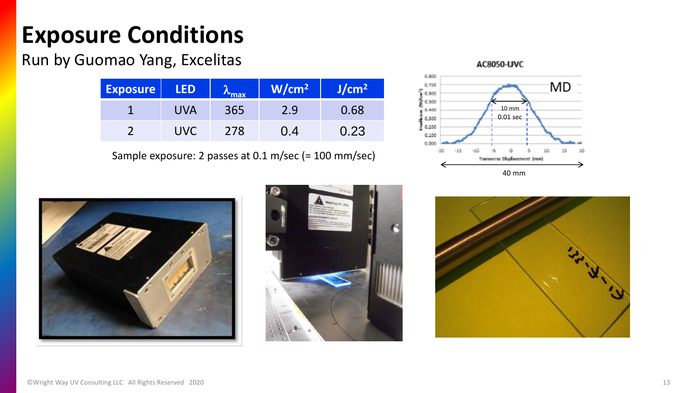# **Exposure Conditions**

#### Run by Guomao Yang, Excelitas

| <b>Exposure</b> | <b>LED</b> | $\sim$ max | W/cm <sup>2</sup> | J/cm <sup>2</sup> |
|-----------------|------------|------------|-------------------|-------------------|
|                 | UVA        | 365        | 2.9               | 0.68              |
|                 | UVC.       | 278        | 0.4               | 0.23              |

Sample exposure: 2 passes at 0.1 m/sec (= 100 mm/sec)







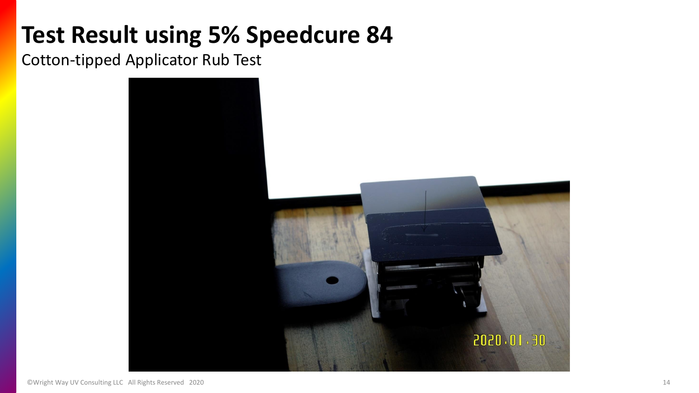### **Test Result using 5% Speedcure 84**

Cotton-tipped Applicator Rub Test

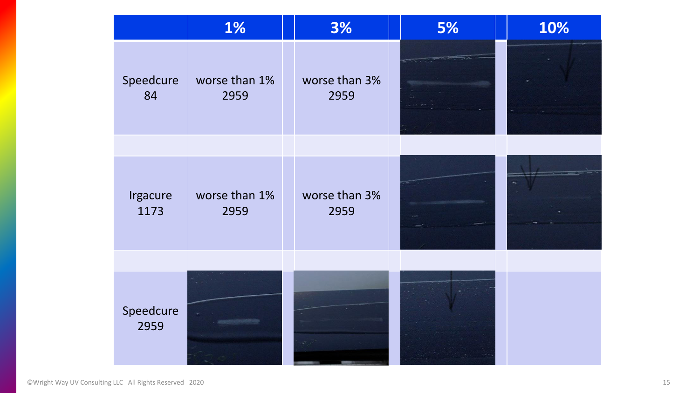|                   | <b>1%</b>             | 3%                    | 5% | 10% |
|-------------------|-----------------------|-----------------------|----|-----|
| Speedcure<br>84   | worse than 1%<br>2959 | worse than 3%<br>2959 |    |     |
|                   |                       |                       |    |     |
| Irgacure<br>1173  | worse than 1%<br>2959 | worse than 3%<br>2959 |    |     |
|                   |                       |                       |    |     |
| Speedcure<br>2959 |                       |                       |    |     |